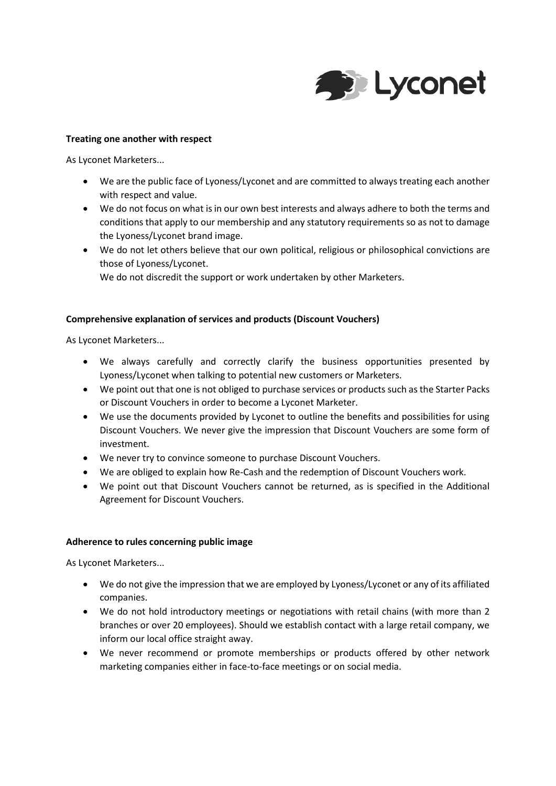

### **Treating one another with respect**

As Lyconet Marketers...

- We are the public face of Lyoness/Lyconet and are committed to always treating each another with respect and value.
- We do not focus on what is in our own best interests and always adhere to both the terms and conditions that apply to our membership and any statutory requirements so as not to damage the Lyoness/Lyconet brand image.
- We do not let others believe that our own political, religious or philosophical convictions are those of Lyoness/Lyconet.

We do not discredit the support or work undertaken by other Marketers.

### **Comprehensive explanation of services and products (Discount Vouchers)**

As Lyconet Marketers...

- We always carefully and correctly clarify the business opportunities presented by Lyoness/Lyconet when talking to potential new customers or Marketers.
- We point out that one is not obliged to purchase services or products such as the Starter Packs or Discount Vouchers in order to become a Lyconet Marketer.
- We use the documents provided by Lyconet to outline the benefits and possibilities for using Discount Vouchers. We never give the impression that Discount Vouchers are some form of investment.
- We never try to convince someone to purchase Discount Vouchers.
- We are obliged to explain how Re-Cash and the redemption of Discount Vouchers work.
- We point out that Discount Vouchers cannot be returned, as is specified in the Additional Agreement for Discount Vouchers.

### **Adherence to rules concerning public image**

As Lyconet Marketers...

- We do not give the impression that we are employed by Lyoness/Lyconet or any of its affiliated companies.
- We do not hold introductory meetings or negotiations with retail chains (with more than 2 branches or over 20 employees). Should we establish contact with a large retail company, we inform our local office straight away.
- We never recommend or promote memberships or products offered by other network marketing companies either in face-to-face meetings or on social media.